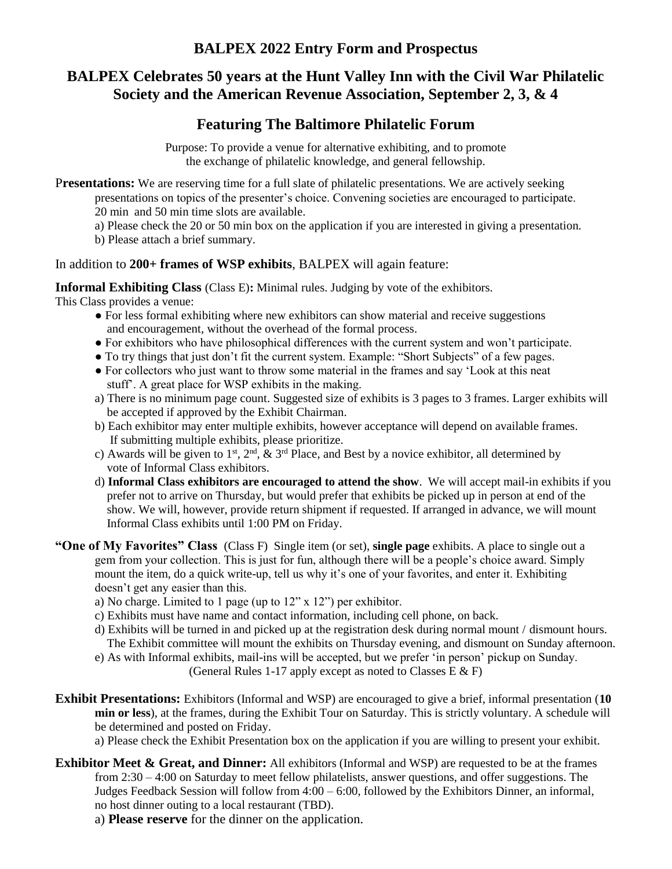## **BALPEX 2022 Entry Form and Prospectus**

# **BALPEX Celebrates 50 years at the Hunt Valley Inn with the Civil War Philatelic Society and the American Revenue Association, September 2, 3, & 4**

# **Featuring The Baltimore Philatelic Forum**

Purpose: To provide a venue for alternative exhibiting, and to promote the exchange of philatelic knowledge, and general fellowship.

P**resentations:** We are reserving time for a full slate of philatelic presentations. We are actively seeking presentations on topics of the presenter's choice. Convening societies are encouraged to participate. 20 min and 50 min time slots are available.

a) Please check the 20 or 50 min box on the application if you are interested in giving a presentation.

b) Please attach a brief summary.

In addition to **200+ frames of WSP exhibits**, BALPEX will again feature:

**Informal Exhibiting Class** (Class E)**:** Minimal rules. Judging by vote of the exhibitors. This Class provides a venue:

- For less formal exhibiting where new exhibitors can show material and receive suggestions and encouragement, without the overhead of the formal process.
- For exhibitors who have philosophical differences with the current system and won't participate.
- To try things that just don't fit the current system. Example: "Short Subjects" of a few pages.
- For collectors who just want to throw some material in the frames and say 'Look at this neat stuff'. A great place for WSP exhibits in the making.
- a) There is no minimum page count. Suggested size of exhibits is 3 pages to 3 frames. Larger exhibits will be accepted if approved by the Exhibit Chairman.
- b) Each exhibitor may enter multiple exhibits, however acceptance will depend on available frames. If submitting multiple exhibits, please prioritize.
- c) Awards will be given to 1<sup>st</sup>, 2<sup>nd</sup>,  $\&$  3<sup>rd</sup> Place, and Best by a novice exhibitor, all determined by vote of Informal Class exhibitors.
- d) **Informal Class exhibitors are encouraged to attend the show**. We will accept mail-in exhibits if you prefer not to arrive on Thursday, but would prefer that exhibits be picked up in person at end of the show. We will, however, provide return shipment if requested. If arranged in advance, we will mount Informal Class exhibits until 1:00 PM on Friday.
- **"One of My Favorites" Class** (Class F) Single item (or set), **single page** exhibits. A place to single out a gem from your collection. This is just for fun, although there will be a people's choice award. Simply mount the item, do a quick write-up, tell us why it's one of your favorites, and enter it. Exhibiting doesn't get any easier than this.
	- a) No charge. Limited to 1 page (up to 12" x 12") per exhibitor.
	- c) Exhibits must have name and contact information, including cell phone, on back.
	- d) Exhibits will be turned in and picked up at the registration desk during normal mount / dismount hours. The Exhibit committee will mount the exhibits on Thursday evening, and dismount on Sunday afternoon.
	- e) As with Informal exhibits, mail-ins will be accepted, but we prefer 'in person' pickup on Sunday.

(General Rules 1-17 apply except as noted to Classes  $E \& F$ )

- **Exhibit Presentations:** Exhibitors (Informal and WSP) are encouraged to give a brief, informal presentation (**10 min or less**), at the frames, during the Exhibit Tour on Saturday. This is strictly voluntary. A schedule will be determined and posted on Friday.
	- a) Please check the Exhibit Presentation box on the application if you are willing to present your exhibit.
- **Exhibitor Meet & Great, and Dinner:** All exhibitors (Informal and WSP) are requested to be at the frames from 2:30 – 4:00 on Saturday to meet fellow philatelists, answer questions, and offer suggestions. The Judges Feedback Session will follow from 4:00 – 6:00, followed by the Exhibitors Dinner, an informal, no host dinner outing to a local restaurant (TBD).

a) **Please reserve** for the dinner on the application.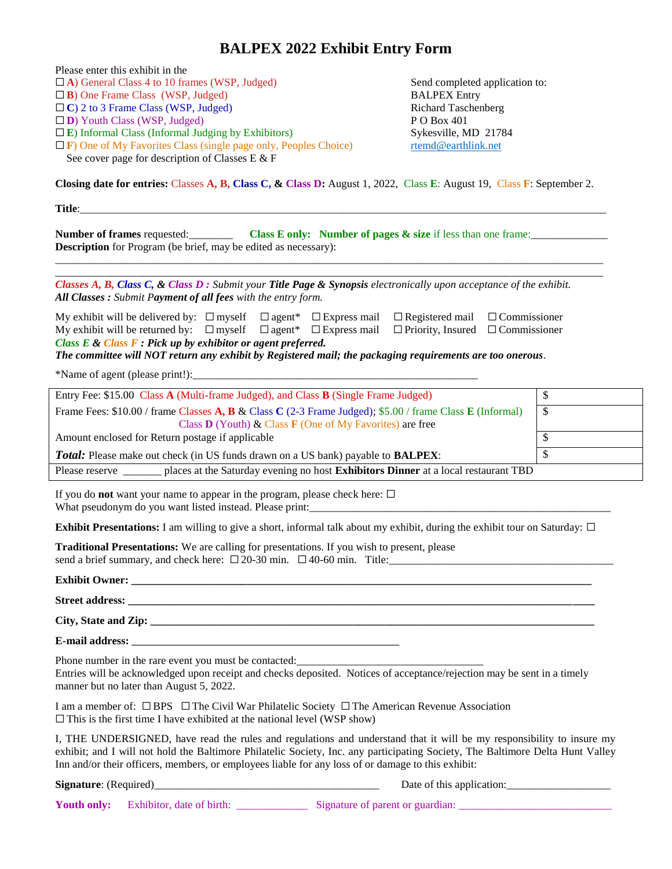# **BALPEX 2022 Exhibit Entry Form**

| Please enter this exhibit in the                                                                                                                                                                                                                                                                                                                              |                                              |  |
|---------------------------------------------------------------------------------------------------------------------------------------------------------------------------------------------------------------------------------------------------------------------------------------------------------------------------------------------------------------|----------------------------------------------|--|
| $\Box$ A) General Class 4 to 10 frames (WSP, Judged)                                                                                                                                                                                                                                                                                                          | Send completed application to:               |  |
| $\Box$ B) One Frame Class (WSP, Judged)                                                                                                                                                                                                                                                                                                                       | <b>BALPEX Entry</b>                          |  |
| $\Box$ C) 2 to 3 Frame Class (WSP, Judged)<br>$\square$ <b>D</b> ) Youth Class (WSP, Judged)                                                                                                                                                                                                                                                                  | <b>Richard Taschenberg</b><br>PO Box 401     |  |
| $\square$ E) Informal Class (Informal Judging by Exhibitors)                                                                                                                                                                                                                                                                                                  | Sykesville, MD 21784                         |  |
| $\Box$ F) One of My Favorites Class (single page only, Peoples Choice)                                                                                                                                                                                                                                                                                        | rtemd@earthlink.net                          |  |
| See cover page for description of Classes E & F                                                                                                                                                                                                                                                                                                               |                                              |  |
| Closing date for entries: Classes A, B, Class C, & Class D: August 1, 2022, Class E: August 19, Class F: September 2.                                                                                                                                                                                                                                         |                                              |  |
| Title:                                                                                                                                                                                                                                                                                                                                                        |                                              |  |
| <b>Number of frames</b> requested: Class E only: Number of pages $\&$ size if less than one frame:                                                                                                                                                                                                                                                            |                                              |  |
| Description for Program (be brief, may be edited as necessary):                                                                                                                                                                                                                                                                                               |                                              |  |
| Classes A, B, Class C, & Class D : Submit your Title Page & Synopsis electronically upon acceptance of the exhibit.                                                                                                                                                                                                                                           |                                              |  |
| All Classes : Submit Payment of all fees with the entry form.                                                                                                                                                                                                                                                                                                 |                                              |  |
| My exhibit will be delivered by: $\Box$ myself $\Box$ agent* $\Box$ Express mail $\Box$ Registered mail $\Box$ Commissioner                                                                                                                                                                                                                                   |                                              |  |
| My exhibit will be returned by: $\Box$ myself $\Box$ agent* $\Box$ Express mail                                                                                                                                                                                                                                                                               | $\Box$ Priority, Insured $\Box$ Commissioner |  |
| Class $E \&$ Class $F :$ Pick up by exhibitor or agent preferred.<br>The committee will NOT return any exhibit by Registered mail; the packaging requirements are too onerous.                                                                                                                                                                                |                                              |  |
|                                                                                                                                                                                                                                                                                                                                                               |                                              |  |
| Entry Fee: \$15.00 Class A (Multi-frame Judged), and Class B (Single Frame Judged)                                                                                                                                                                                                                                                                            | \$                                           |  |
| Frame Fees: \$10.00 / frame Classes A, B & Class C (2-3 Frame Judged); \$5.00 / frame Class E (Informal)                                                                                                                                                                                                                                                      | $\mathcal{S}$                                |  |
| Class $\bf{D}$ (Youth) & Class $\bf{F}$ (One of My Favorites) are free                                                                                                                                                                                                                                                                                        |                                              |  |
| Amount enclosed for Return postage if applicable<br>\$                                                                                                                                                                                                                                                                                                        |                                              |  |
| $\mathbb{S}$<br><b>Total:</b> Please make out check (in US funds drawn on a US bank) payable to <b>BALPEX</b> :                                                                                                                                                                                                                                               |                                              |  |
| Please reserve _______ places at the Saturday evening no host Exhibitors Dinner at a local restaurant TBD                                                                                                                                                                                                                                                     |                                              |  |
| If you do <b>not</b> want your name to appear in the program, please check here: $\Box$                                                                                                                                                                                                                                                                       |                                              |  |
| <b>Exhibit Presentations:</b> I am willing to give a short, informal talk about my exhibit, during the exhibit tour on Saturday: $\Box$                                                                                                                                                                                                                       |                                              |  |
| Traditional Presentations: We are calling for presentations. If you wish to present, please                                                                                                                                                                                                                                                                   |                                              |  |
|                                                                                                                                                                                                                                                                                                                                                               |                                              |  |
|                                                                                                                                                                                                                                                                                                                                                               |                                              |  |
|                                                                                                                                                                                                                                                                                                                                                               |                                              |  |
|                                                                                                                                                                                                                                                                                                                                                               |                                              |  |
| Phone number in the rare event you must be contacted:<br>Entries will be acknowledged upon receipt and checks deposited. Notices of acceptance/rejection may be sent in a timely<br>manner but no later than August 5, 2022.                                                                                                                                  |                                              |  |
| I am a member of: $\Box$ BPS $\Box$ The Civil War Philatelic Society $\Box$ The American Revenue Association<br>$\Box$ This is the first time I have exhibited at the national level (WSP show)                                                                                                                                                               |                                              |  |
| I, THE UNDERSIGNED, have read the rules and regulations and understand that it will be my responsibility to insure my<br>exhibit; and I will not hold the Baltimore Philatelic Society, Inc. any participating Society, The Baltimore Delta Hunt Valley<br>Inn and/or their officers, members, or employees liable for any loss of or damage to this exhibit: |                                              |  |
|                                                                                                                                                                                                                                                                                                                                                               | Date of this application:                    |  |

**Youth only:** Exhibitor, date of birth: \_\_\_\_\_\_\_\_\_\_\_\_\_ Signature of parent or guardian: \_\_\_\_\_\_\_\_\_\_\_\_\_\_\_\_\_\_\_\_\_\_\_\_\_\_\_\_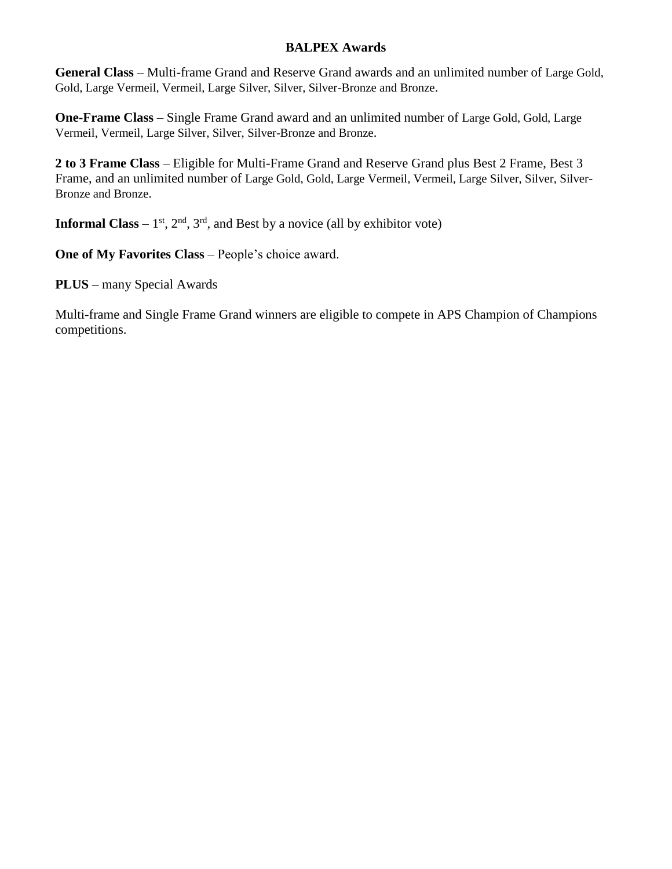## **BALPEX Awards**

**General Class** – Multi-frame Grand and Reserve Grand awards and an unlimited number of Large Gold, Gold, Large Vermeil, Vermeil, Large Silver, Silver, Silver-Bronze and Bronze.

**One-Frame Class** – Single Frame Grand award and an unlimited number of Large Gold, Gold, Large Vermeil, Vermeil, Large Silver, Silver, Silver-Bronze and Bronze.

**2 to 3 Frame Class** – Eligible for Multi-Frame Grand and Reserve Grand plus Best 2 Frame, Best 3 Frame, and an unlimited number of Large Gold, Gold, Large Vermeil, Vermeil, Large Silver, Silver, Silver-Bronze and Bronze.

**Informal Class** –  $1<sup>st</sup>$ ,  $2<sup>nd</sup>$ ,  $3<sup>rd</sup>$ , and Best by a novice (all by exhibitor vote)

**One of My Favorites Class** – People's choice award.

**PLUS** – many Special Awards

Multi-frame and Single Frame Grand winners are eligible to compete in APS Champion of Champions competitions.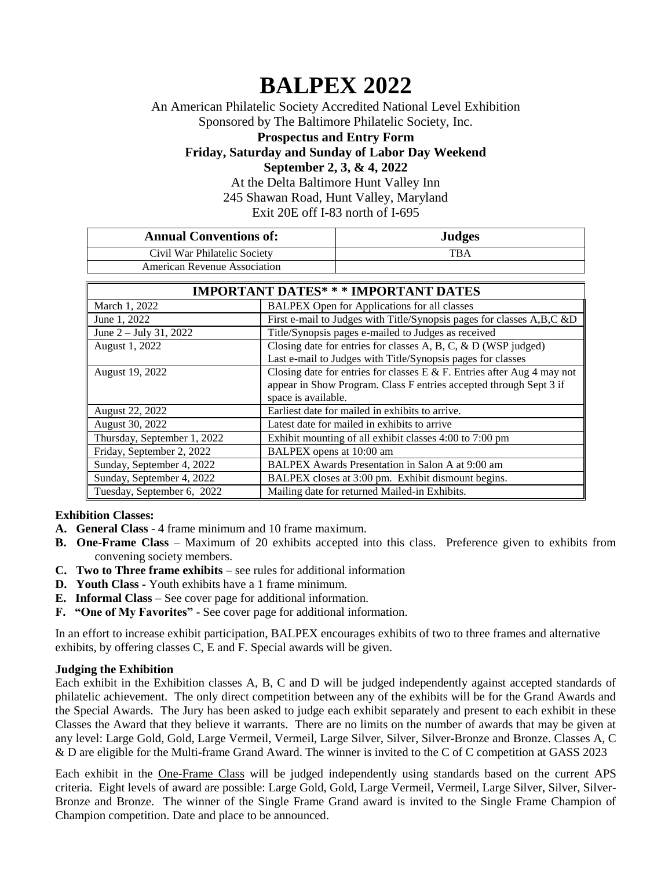# **BALPEX 2022**

An American Philatelic Society Accredited National Level Exhibition Sponsored by The Baltimore Philatelic Society, Inc.

**Prospectus and Entry Form Friday, Saturday and Sunday of Labor Day Weekend September 2, 3, & 4, 2022**

At the Delta Baltimore Hunt Valley Inn 245 Shawan Road, Hunt Valley, Maryland Exit 20E off I-83 north of I-695

| <b>Annual Conventions of:</b>       | <b>Judges</b> |
|-------------------------------------|---------------|
| Civil War Philatelic Society        | TBA           |
| <b>American Revenue Association</b> |               |

| <b>IMPORTANT DATES* * * IMPORTANT DATES</b> |                                                                                                                                               |  |
|---------------------------------------------|-----------------------------------------------------------------------------------------------------------------------------------------------|--|
| March 1, 2022                               | <b>BALPEX Open for Applications for all classes</b>                                                                                           |  |
| June 1, 2022                                | First e-mail to Judges with Title/Synopsis pages for classes A,B,C &D                                                                         |  |
| June $2 -$ July 31, 2022                    | Title/Synopsis pages e-mailed to Judges as received                                                                                           |  |
| August 1, 2022                              | Closing date for entries for classes A, B, C, $\&$ D (WSP judged)                                                                             |  |
|                                             | Last e-mail to Judges with Title/Synopsis pages for classes                                                                                   |  |
| August 19, 2022                             | Closing date for entries for classes E & F. Entries after Aug 4 may not<br>appear in Show Program. Class F entries accepted through Sept 3 if |  |
|                                             | space is available.                                                                                                                           |  |
| August 22, 2022                             | Earliest date for mailed in exhibits to arrive.                                                                                               |  |
| August 30, 2022                             | Latest date for mailed in exhibits to arrive                                                                                                  |  |
| Thursday, September 1, 2022                 | Exhibit mounting of all exhibit classes 4:00 to 7:00 pm                                                                                       |  |
| Friday, September 2, 2022                   | BALPEX opens at 10:00 am                                                                                                                      |  |
| Sunday, September 4, 2022                   | BALPEX Awards Presentation in Salon A at 9:00 am                                                                                              |  |
| Sunday, September 4, 2022                   | BALPEX closes at 3:00 pm. Exhibit dismount begins.                                                                                            |  |
| Tuesday, September 6, 2022                  | Mailing date for returned Mailed-in Exhibits.                                                                                                 |  |

## **Exhibition Classes:**

- **A. General Class** 4 frame minimum and 10 frame maximum.
- **B. One-Frame Class** Maximum of 20 exhibits accepted into this class. Preference given to exhibits from convening society members.
- **C. Two to Three frame exhibits** see rules for additional information
- **D. Youth Class -** Youth exhibits have a 1 frame minimum.
- **E. Informal Class** See cover page for additional information.
- **F. "One of My Favorites"** See cover page for additional information.

In an effort to increase exhibit participation, BALPEX encourages exhibits of two to three frames and alternative exhibits, by offering classes C, E and F. Special awards will be given.

## **Judging the Exhibition**

Each exhibit in the Exhibition classes A, B, C and D will be judged independently against accepted standards of philatelic achievement. The only direct competition between any of the exhibits will be for the Grand Awards and the Special Awards. The Jury has been asked to judge each exhibit separately and present to each exhibit in these Classes the Award that they believe it warrants. There are no limits on the number of awards that may be given at any level: Large Gold, Gold, Large Vermeil, Vermeil, Large Silver, Silver, Silver-Bronze and Bronze. Classes A, C & D are eligible for the Multi-frame Grand Award. The winner is invited to the C of C competition at GASS 2023

Each exhibit in the One-Frame Class will be judged independently using standards based on the current APS criteria.Eight levels of award are possible: Large Gold, Gold, Large Vermeil, Vermeil, Large Silver, Silver, Silver-Bronze and Bronze. The winner of the Single Frame Grand award is invited to the Single Frame Champion of Champion competition. Date and place to be announced.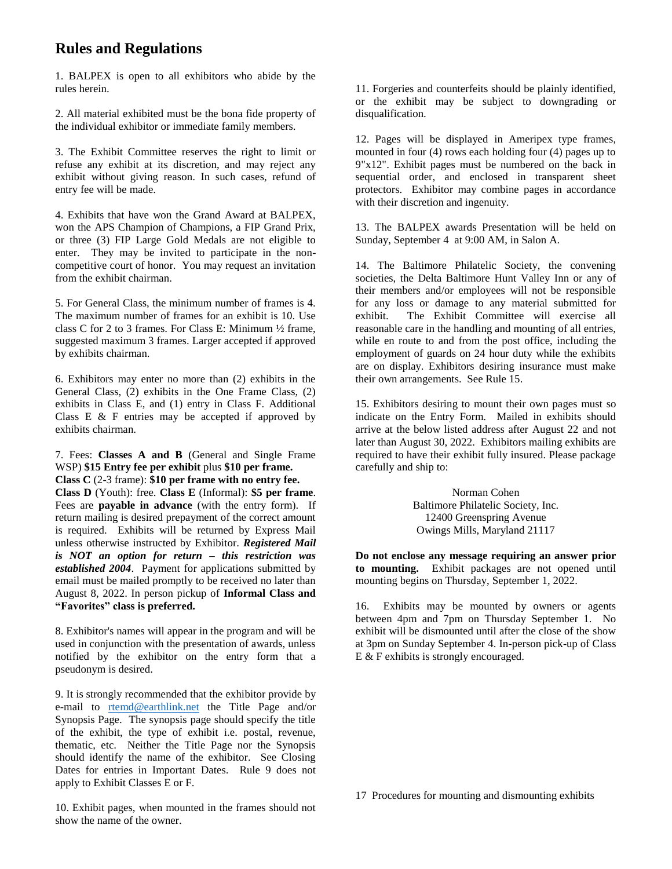## **Rules and Regulations**

1. BALPEX is open to all exhibitors who abide by the rules herein.

2. All material exhibited must be the bona fide property of the individual exhibitor or immediate family members.

3. The Exhibit Committee reserves the right to limit or refuse any exhibit at its discretion, and may reject any exhibit without giving reason. In such cases, refund of entry fee will be made.

4. Exhibits that have won the Grand Award at BALPEX, won the APS Champion of Champions, a FIP Grand Prix, or three (3) FIP Large Gold Medals are not eligible to enter. They may be invited to participate in the noncompetitive court of honor. You may request an invitation from the exhibit chairman.

5. For General Class, the minimum number of frames is 4. The maximum number of frames for an exhibit is 10. Use class C for 2 to 3 frames. For Class E: Minimum ½ frame, suggested maximum 3 frames. Larger accepted if approved by exhibits chairman.

6. Exhibitors may enter no more than (2) exhibits in the General Class, (2) exhibits in the One Frame Class, (2) exhibits in Class E, and (1) entry in Class F. Additional Class E  $&$  F entries may be accepted if approved by exhibits chairman.

7. Fees: **Classes A and B** (General and Single Frame WSP) **\$15 Entry fee per exhibit** plus **\$10 per frame. Class C** (2-3 frame): **\$10 per frame with no entry fee. Class D** (Youth): free. **Class E** (Informal): **\$5 per frame**. Fees are **payable in advance** (with the entry form). If return mailing is desired prepayment of the correct amount is required. Exhibits will be returned by Express Mail unless otherwise instructed by Exhibitor. *Registered Mail is NOT an option for return – this restriction was established 2004*. Payment for applications submitted by email must be mailed promptly to be received no later than August 8, 2022. In person pickup of **Informal Class and "Favorites" class is preferred.**

8. Exhibitor's names will appear in the program and will be used in conjunction with the presentation of awards, unless notified by the exhibitor on the entry form that a pseudonym is desired.

9. It is strongly recommended that the exhibitor provide by e-mail to [rtemd@earthlink.net](mailto:rmdrought@yahoo.com) the Title Page and/or Synopsis Page. The synopsis page should specify the title of the exhibit, the type of exhibit i.e. postal, revenue, thematic, etc. Neither the Title Page nor the Synopsis should identify the name of the exhibitor. See Closing Dates for entries in Important Dates. Rule 9 does not apply to Exhibit Classes E or F.

10. Exhibit pages, when mounted in the frames should not show the name of the owner.

11. Forgeries and counterfeits should be plainly identified, or the exhibit may be subject to downgrading or disqualification.

12. Pages will be displayed in Ameripex type frames, mounted in four (4) rows each holding four (4) pages up to 9"x12". Exhibit pages must be numbered on the back in sequential order, and enclosed in transparent sheet protectors. Exhibitor may combine pages in accordance with their discretion and ingenuity.

13. The BALPEX awards Presentation will be held on Sunday, September 4 at 9:00 AM, in Salon A.

14. The Baltimore Philatelic Society, the convening societies, the Delta Baltimore Hunt Valley Inn or any of their members and/or employees will not be responsible for any loss or damage to any material submitted for exhibit. The Exhibit Committee will exercise all reasonable care in the handling and mounting of all entries, while en route to and from the post office, including the employment of guards on 24 hour duty while the exhibits are on display. Exhibitors desiring insurance must make their own arrangements. See Rule 15.

15. Exhibitors desiring to mount their own pages must so indicate on the Entry Form. Mailed in exhibits should arrive at the below listed address after August 22 and not later than August 30, 2022. Exhibitors mailing exhibits are required to have their exhibit fully insured. Please package carefully and ship to:

> Norman Cohen Baltimore Philatelic Society, Inc. 12400 Greenspring Avenue Owings Mills, Maryland 21117

**Do not enclose any message requiring an answer prior to mounting.** Exhibit packages are not opened until mounting begins on Thursday, September 1, 2022.

16. Exhibits may be mounted by owners or agents between 4pm and 7pm on Thursday September 1. No exhibit will be dismounted until after the close of the show at 3pm on Sunday September 4. In-person pick-up of Class E & F exhibits is strongly encouraged.

17 Procedures for mounting and dismounting exhibits